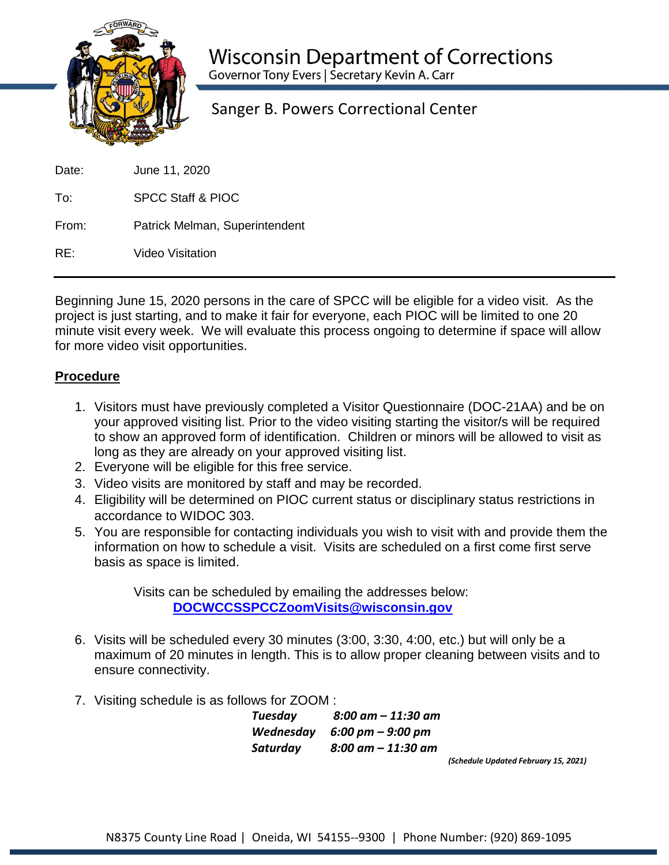

Sanger B. Powers Correctional Center

| Date: | June 11, 2020 |  |
|-------|---------------|--|
|       |               |  |

To: SPCC Staff & PIOC

From: Patrick Melman, Superintendent

RE: Video Visitation

Beginning June 15, 2020 persons in the care of SPCC will be eligible for a video visit. As the project is just starting, and to make it fair for everyone, each PIOC will be limited to one 20 minute visit every week. We will evaluate this process ongoing to determine if space will allow for more video visit opportunities.

## **Procedure**

- 1. Visitors must have previously completed a Visitor Questionnaire (DOC-21AA) and be on your approved visiting list. Prior to the video visiting starting the visitor/s will be required to show an approved form of identification. Children or minors will be allowed to visit as long as they are already on your approved visiting list.
- 2. Everyone will be eligible for this free service.
- 3. Video visits are monitored by staff and may be recorded.
- 4. Eligibility will be determined on PIOC current status or disciplinary status restrictions in accordance to WIDOC 303.
- 5. You are responsible for contacting individuals you wish to visit with and provide them the information on how to schedule a visit. Visits are scheduled on a first come first serve basis as space is limited.

Visits can be scheduled by emailing the addresses below: **[DOCWCCSSPCCZoomVisits@wisconsin.gov](mailto:DOCWCCSSPCCZoomVisits@wisconsin.gov)**

- 6. Visits will be scheduled every 30 minutes (3:00, 3:30, 4:00, etc.) but will only be a maximum of 20 minutes in length. This is to allow proper cleaning between visits and to ensure connectivity.
- 7. Visiting schedule is as follows for ZOOM :

*Tuesday 8:00 am – 11:30 am Wednesday 6:00 pm – 9:00 pm Saturday 8:00 am – 11:30 am*

*(Schedule Updated February 15, 2021)*